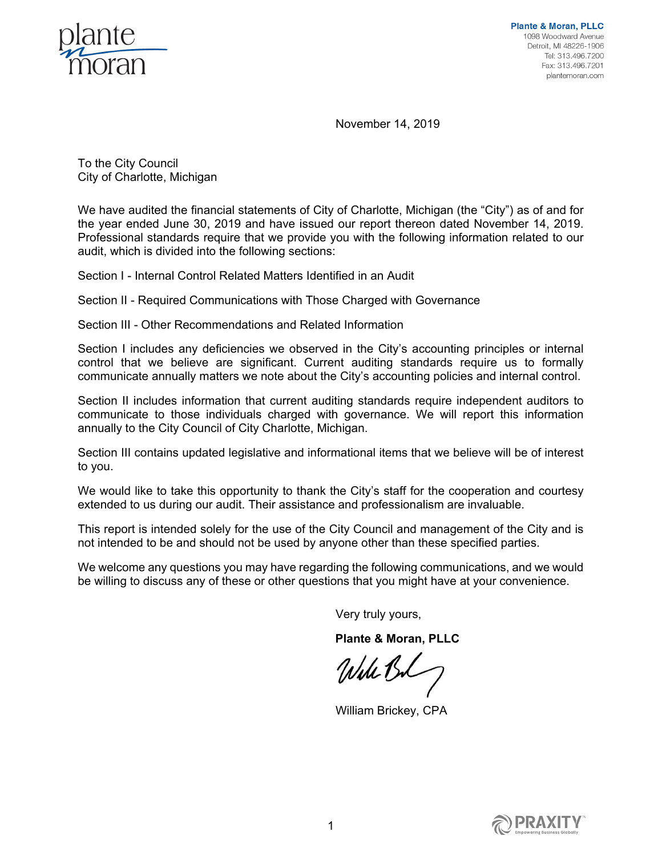

November 14, 2019

To the City Council City of Charlotte, Michigan

We have audited the financial statements of City of Charlotte, Michigan (the "City") as of and for the year ended June 30, 2019 and have issued our report thereon dated November 14, 2019. Professional standards require that we provide you with the following information related to our audit, which is divided into the following sections:

Section I - Internal Control Related Matters Identified in an Audit

Section II - Required Communications with Those Charged with Governance

Section III - Other Recommendations and Related Information

Section I includes any deficiencies we observed in the City's accounting principles or internal control that we believe are significant. Current auditing standards require us to formally communicate annually matters we note about the City's accounting policies and internal control.

Section II includes information that current auditing standards require independent auditors to communicate to those individuals charged with governance. We will report this information annually to the City Council of City Charlotte, Michigan.

Section III contains updated legislative and informational items that we believe will be of interest to you.

We would like to take this opportunity to thank the City's staff for the cooperation and courtesy extended to us during our audit. Their assistance and professionalism are invaluable.

This report is intended solely for the use of the City Council and management of the City and is not intended to be and should not be used by anyone other than these specified parties.

We welcome any questions you may have regarding the following communications, and we would be willing to discuss any of these or other questions that you might have at your convenience.

Very truly yours,

**Plante & Moran, PLLC** 

Will Bl

William Brickey, CPA

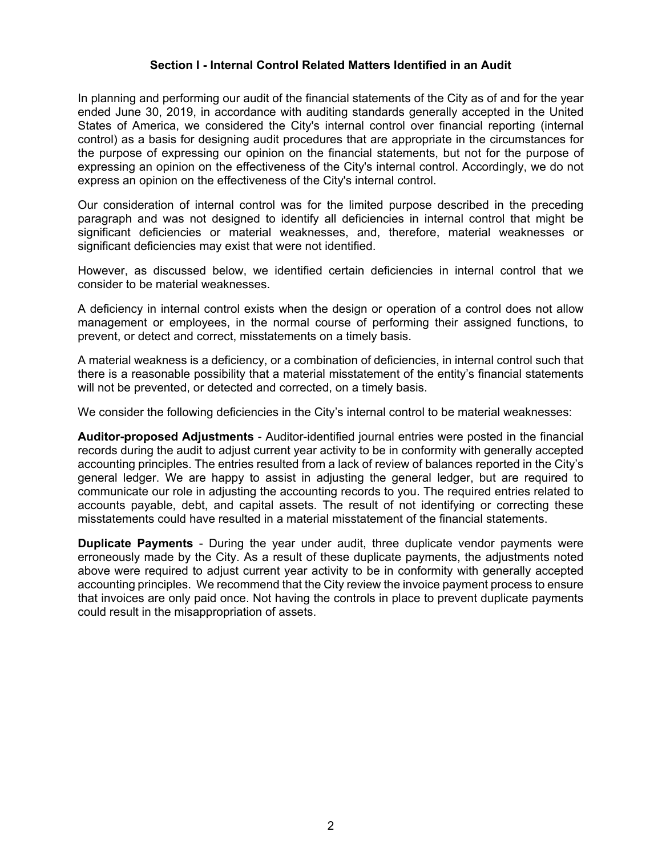# **Section I - Internal Control Related Matters Identified in an Audit**

In planning and performing our audit of the financial statements of the City as of and for the year ended June 30, 2019, in accordance with auditing standards generally accepted in the United States of America, we considered the City's internal control over financial reporting (internal control) as a basis for designing audit procedures that are appropriate in the circumstances for the purpose of expressing our opinion on the financial statements, but not for the purpose of expressing an opinion on the effectiveness of the City's internal control. Accordingly, we do not express an opinion on the effectiveness of the City's internal control.

Our consideration of internal control was for the limited purpose described in the preceding paragraph and was not designed to identify all deficiencies in internal control that might be significant deficiencies or material weaknesses, and, therefore, material weaknesses or significant deficiencies may exist that were not identified.

However, as discussed below, we identified certain deficiencies in internal control that we consider to be material weaknesses.

A deficiency in internal control exists when the design or operation of a control does not allow management or employees, in the normal course of performing their assigned functions, to prevent, or detect and correct, misstatements on a timely basis.

A material weakness is a deficiency, or a combination of deficiencies, in internal control such that there is a reasonable possibility that a material misstatement of the entity's financial statements will not be prevented, or detected and corrected, on a timely basis.

We consider the following deficiencies in the City's internal control to be material weaknesses:

**Auditor-proposed Adjustments** - Auditor-identified journal entries were posted in the financial records during the audit to adjust current year activity to be in conformity with generally accepted accounting principles. The entries resulted from a lack of review of balances reported in the City's general ledger. We are happy to assist in adjusting the general ledger, but are required to communicate our role in adjusting the accounting records to you. The required entries related to accounts payable, debt, and capital assets. The result of not identifying or correcting these misstatements could have resulted in a material misstatement of the financial statements.

**Duplicate Payments** - During the year under audit, three duplicate vendor payments were erroneously made by the City. As a result of these duplicate payments, the adjustments noted above were required to adjust current year activity to be in conformity with generally accepted accounting principles. We recommend that the City review the invoice payment process to ensure that invoices are only paid once. Not having the controls in place to prevent duplicate payments could result in the misappropriation of assets.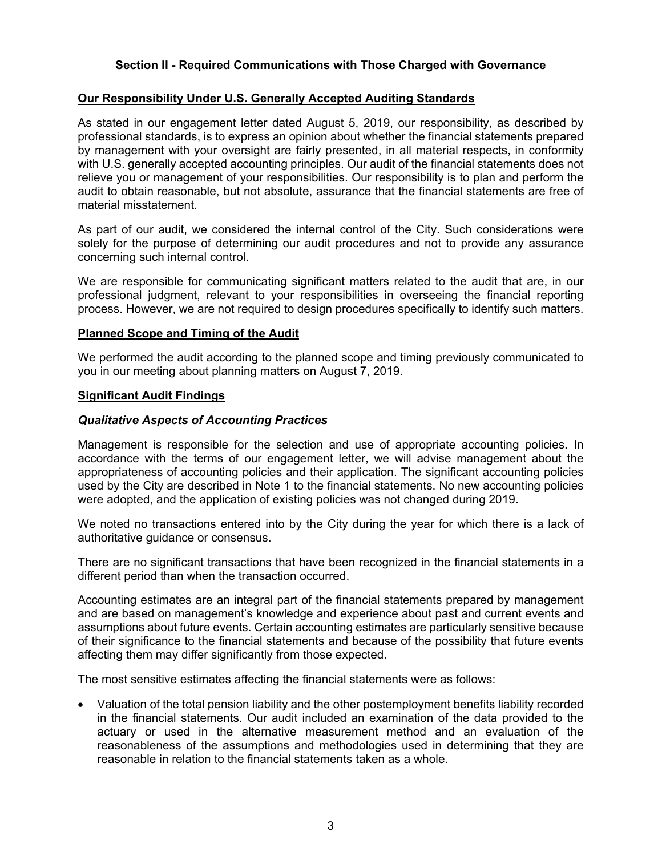# **Section II - Required Communications with Those Charged with Governance**

## **Our Responsibility Under U.S. Generally Accepted Auditing Standards**

As stated in our engagement letter dated August 5, 2019, our responsibility, as described by professional standards, is to express an opinion about whether the financial statements prepared by management with your oversight are fairly presented, in all material respects, in conformity with U.S. generally accepted accounting principles. Our audit of the financial statements does not relieve you or management of your responsibilities. Our responsibility is to plan and perform the audit to obtain reasonable, but not absolute, assurance that the financial statements are free of material misstatement.

As part of our audit, we considered the internal control of the City. Such considerations were solely for the purpose of determining our audit procedures and not to provide any assurance concerning such internal control.

We are responsible for communicating significant matters related to the audit that are, in our professional judgment, relevant to your responsibilities in overseeing the financial reporting process. However, we are not required to design procedures specifically to identify such matters.

## **Planned Scope and Timing of the Audit**

We performed the audit according to the planned scope and timing previously communicated to you in our meeting about planning matters on August 7, 2019.

### **Significant Audit Findings**

## *Qualitative Aspects of Accounting Practices*

Management is responsible for the selection and use of appropriate accounting policies. In accordance with the terms of our engagement letter, we will advise management about the appropriateness of accounting policies and their application. The significant accounting policies used by the City are described in Note 1 to the financial statements. No new accounting policies were adopted, and the application of existing policies was not changed during 2019.

We noted no transactions entered into by the City during the year for which there is a lack of authoritative guidance or consensus.

There are no significant transactions that have been recognized in the financial statements in a different period than when the transaction occurred.

Accounting estimates are an integral part of the financial statements prepared by management and are based on management's knowledge and experience about past and current events and assumptions about future events. Certain accounting estimates are particularly sensitive because of their significance to the financial statements and because of the possibility that future events affecting them may differ significantly from those expected.

The most sensitive estimates affecting the financial statements were as follows:

 Valuation of the total pension liability and the other postemployment benefits liability recorded in the financial statements. Our audit included an examination of the data provided to the actuary or used in the alternative measurement method and an evaluation of the reasonableness of the assumptions and methodologies used in determining that they are reasonable in relation to the financial statements taken as a whole.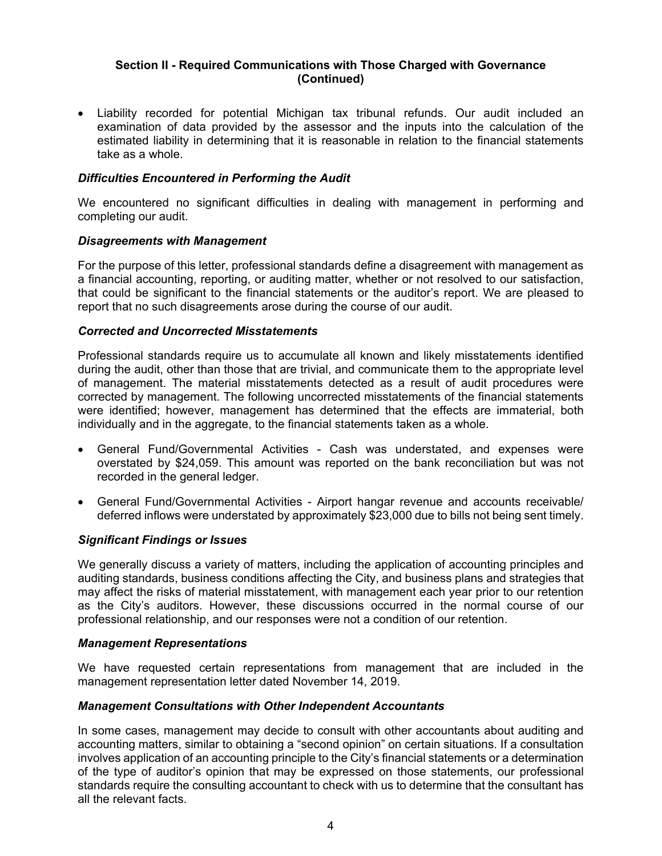# **Section II - Required Communications with Those Charged with Governance (Continued)**

 Liability recorded for potential Michigan tax tribunal refunds. Our audit included an examination of data provided by the assessor and the inputs into the calculation of the estimated liability in determining that it is reasonable in relation to the financial statements take as a whole.

# *Difficulties Encountered in Performing the Audit*

We encountered no significant difficulties in dealing with management in performing and completing our audit.

### *Disagreements with Management*

For the purpose of this letter, professional standards define a disagreement with management as a financial accounting, reporting, or auditing matter, whether or not resolved to our satisfaction, that could be significant to the financial statements or the auditor's report. We are pleased to report that no such disagreements arose during the course of our audit.

### *Corrected and Uncorrected Misstatements*

Professional standards require us to accumulate all known and likely misstatements identified during the audit, other than those that are trivial, and communicate them to the appropriate level of management. The material misstatements detected as a result of audit procedures were corrected by management. The following uncorrected misstatements of the financial statements were identified; however, management has determined that the effects are immaterial, both individually and in the aggregate, to the financial statements taken as a whole.

- General Fund/Governmental Activities Cash was understated, and expenses were overstated by \$24,059. This amount was reported on the bank reconciliation but was not recorded in the general ledger.
- General Fund/Governmental Activities Airport hangar revenue and accounts receivable/ deferred inflows were understated by approximately \$23,000 due to bills not being sent timely.

### *Significant Findings or Issues*

We generally discuss a variety of matters, including the application of accounting principles and auditing standards, business conditions affecting the City, and business plans and strategies that may affect the risks of material misstatement, with management each year prior to our retention as the City's auditors. However, these discussions occurred in the normal course of our professional relationship, and our responses were not a condition of our retention.

### *Management Representations*

We have requested certain representations from management that are included in the management representation letter dated November 14, 2019.

### *Management Consultations with Other Independent Accountants*

In some cases, management may decide to consult with other accountants about auditing and accounting matters, similar to obtaining a "second opinion" on certain situations. If a consultation involves application of an accounting principle to the City's financial statements or a determination of the type of auditor's opinion that may be expressed on those statements, our professional standards require the consulting accountant to check with us to determine that the consultant has all the relevant facts.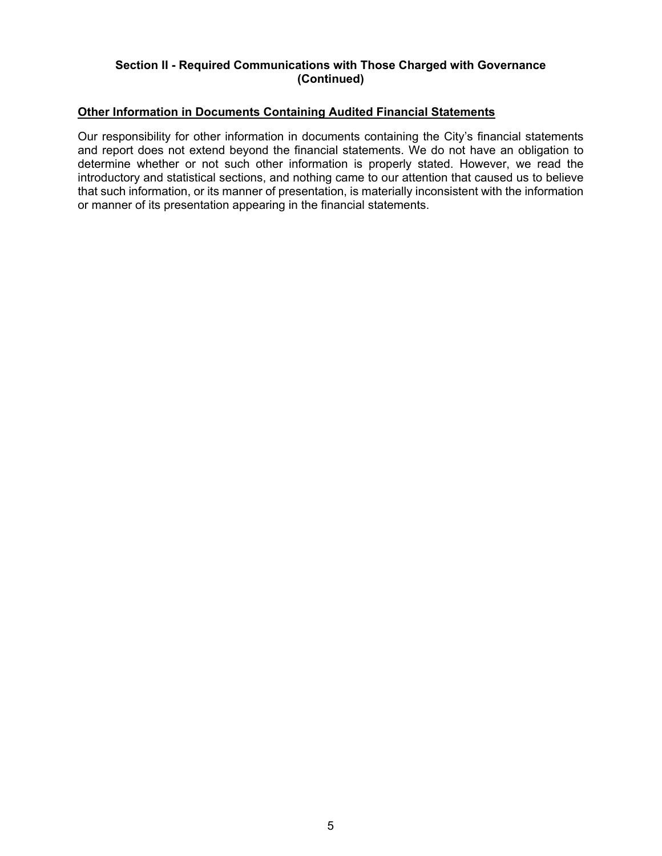# **Section II - Required Communications with Those Charged with Governance (Continued)**

## **Other Information in Documents Containing Audited Financial Statements**

Our responsibility for other information in documents containing the City's financial statements and report does not extend beyond the financial statements. We do not have an obligation to determine whether or not such other information is properly stated. However, we read the introductory and statistical sections, and nothing came to our attention that caused us to believe that such information, or its manner of presentation, is materially inconsistent with the information or manner of its presentation appearing in the financial statements.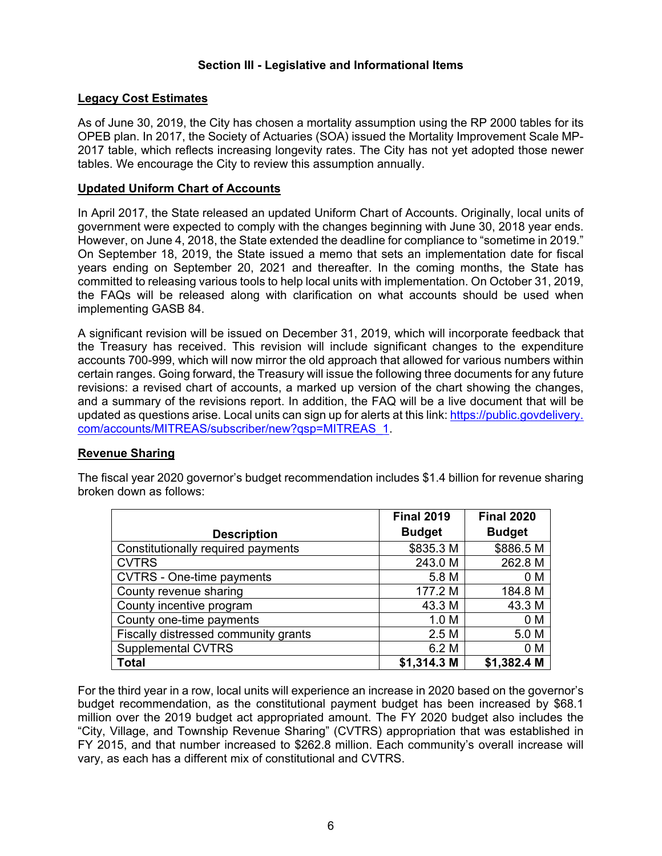# **Section III - Legislative and Informational Items**

## **Legacy Cost Estimates**

As of June 30, 2019, the City has chosen a mortality assumption using the RP 2000 tables for its OPEB plan. In 2017, the Society of Actuaries (SOA) issued the Mortality Improvement Scale MP-2017 table, which reflects increasing longevity rates. The City has not yet adopted those newer tables. We encourage the City to review this assumption annually.

### **Updated Uniform Chart of Accounts**

In April 2017, the State released an updated Uniform Chart of Accounts. Originally, local units of government were expected to comply with the changes beginning with June 30, 2018 year ends. However, on June 4, 2018, the State extended the deadline for compliance to "sometime in 2019." On September 18, 2019, the State issued a memo that sets an implementation date for fiscal years ending on September 20, 2021 and thereafter. In the coming months, the State has committed to releasing various tools to help local units with implementation. On October 31, 2019, the FAQs will be released along with clarification on what accounts should be used when implementing GASB 84.

A significant revision will be issued on December 31, 2019, which will incorporate feedback that the Treasury has received. This revision will include significant changes to the expenditure accounts 700-999, which will now mirror the old approach that allowed for various numbers within certain ranges. Going forward, the Treasury will issue the following three documents for any future revisions: a revised chart of accounts, a marked up version of the chart showing the changes, and a summary of the revisions report. In addition, the FAQ will be a live document that will be updated as questions arise. Local units can sign up for alerts at this link: https://public.govdelivery. com/accounts/MITREAS/subscriber/new?qsp=MITREAS\_1.

# **Revenue Sharing**

The fiscal year 2020 governor's budget recommendation includes \$1.4 billion for revenue sharing broken down as follows:

|                                      | <b>Final 2019</b> | <b>Final 2020</b> |
|--------------------------------------|-------------------|-------------------|
| <b>Description</b>                   | <b>Budget</b>     | <b>Budget</b>     |
| Constitutionally required payments   | \$835.3 M         | \$886.5 M         |
| <b>CVTRS</b>                         | 243.0 M           | 262.8 M           |
| <b>CVTRS - One-time payments</b>     | 5.8 M             | 0 M               |
| County revenue sharing               | 177.2 M           | 184.8 M           |
| County incentive program             | 43.3 M            | 43.3 M            |
| County one-time payments             | 1.0 <sub>M</sub>  | 0 M               |
| Fiscally distressed community grants | 2.5M              | 5.0 M             |
| <b>Supplemental CVTRS</b>            | 6.2 M             | 0 M               |
| <b>Total</b>                         | \$1,314.3 M       | \$1,382.4 M       |

For the third year in a row, local units will experience an increase in 2020 based on the governor's budget recommendation, as the constitutional payment budget has been increased by \$68.1 million over the 2019 budget act appropriated amount. The FY 2020 budget also includes the "City, Village, and Township Revenue Sharing" (CVTRS) appropriation that was established in FY 2015, and that number increased to \$262.8 million. Each community's overall increase will vary, as each has a different mix of constitutional and CVTRS.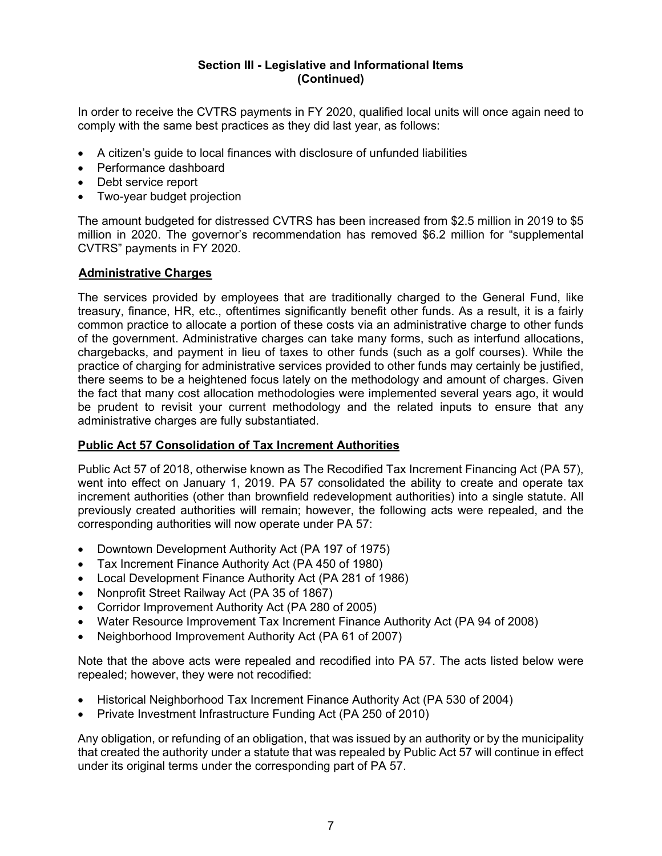# **Section III - Legislative and Informational Items (Continued)**

In order to receive the CVTRS payments in FY 2020, qualified local units will once again need to comply with the same best practices as they did last year, as follows:

- A citizen's guide to local finances with disclosure of unfunded liabilities
- Performance dashboard
- Debt service report
- Two-year budget projection

The amount budgeted for distressed CVTRS has been increased from \$2.5 million in 2019 to \$5 million in 2020. The governor's recommendation has removed \$6.2 million for "supplemental CVTRS" payments in FY 2020.

# **Administrative Charges**

The services provided by employees that are traditionally charged to the General Fund, like treasury, finance, HR, etc., oftentimes significantly benefit other funds. As a result, it is a fairly common practice to allocate a portion of these costs via an administrative charge to other funds of the government. Administrative charges can take many forms, such as interfund allocations, chargebacks, and payment in lieu of taxes to other funds (such as a golf courses). While the practice of charging for administrative services provided to other funds may certainly be justified, there seems to be a heightened focus lately on the methodology and amount of charges. Given the fact that many cost allocation methodologies were implemented several years ago, it would be prudent to revisit your current methodology and the related inputs to ensure that any administrative charges are fully substantiated.

# **Public Act 57 Consolidation of Tax Increment Authorities**

Public Act 57 of 2018, otherwise known as The Recodified Tax Increment Financing Act (PA 57), went into effect on January 1, 2019. PA 57 consolidated the ability to create and operate tax increment authorities (other than brownfield redevelopment authorities) into a single statute. All previously created authorities will remain; however, the following acts were repealed, and the corresponding authorities will now operate under PA 57:

- Downtown Development Authority Act (PA 197 of 1975)
- Tax Increment Finance Authority Act (PA 450 of 1980)
- Local Development Finance Authority Act (PA 281 of 1986)
- Nonprofit Street Railway Act (PA 35 of 1867)
- Corridor Improvement Authority Act (PA 280 of 2005)
- Water Resource Improvement Tax Increment Finance Authority Act (PA 94 of 2008)
- Neighborhood Improvement Authority Act (PA 61 of 2007)

Note that the above acts were repealed and recodified into PA 57. The acts listed below were repealed; however, they were not recodified:

- Historical Neighborhood Tax Increment Finance Authority Act (PA 530 of 2004)
- Private Investment Infrastructure Funding Act (PA 250 of 2010)

Any obligation, or refunding of an obligation, that was issued by an authority or by the municipality that created the authority under a statute that was repealed by Public Act 57 will continue in effect under its original terms under the corresponding part of PA 57.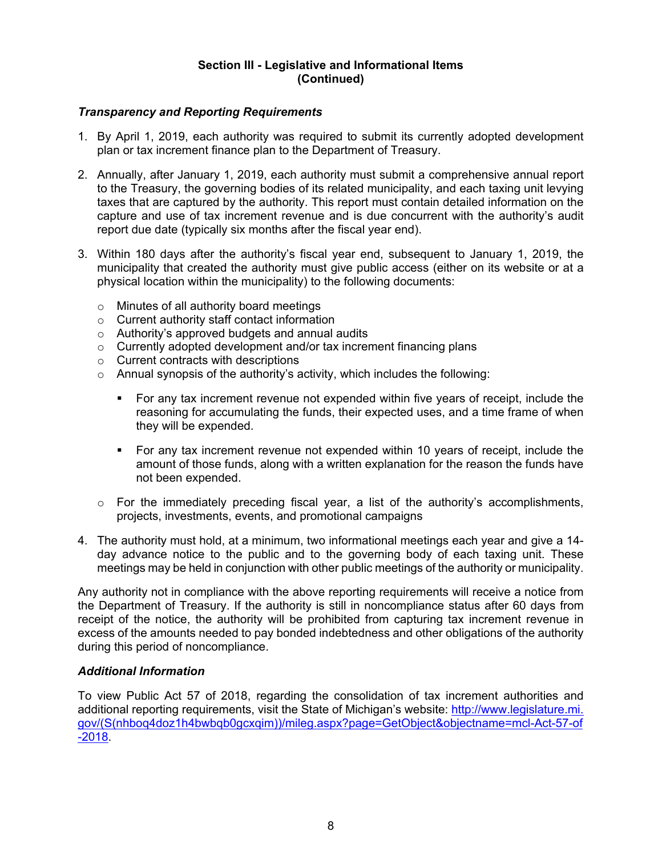# **Section III - Legislative and Informational Items (Continued)**

# *Transparency and Reporting Requirements*

- 1. By April 1, 2019, each authority was required to submit its currently adopted development plan or tax increment finance plan to the Department of Treasury.
- 2. Annually, after January 1, 2019, each authority must submit a comprehensive annual report to the Treasury, the governing bodies of its related municipality, and each taxing unit levying taxes that are captured by the authority. This report must contain detailed information on the capture and use of tax increment revenue and is due concurrent with the authority's audit report due date (typically six months after the fiscal year end).
- 3. Within 180 days after the authority's fiscal year end, subsequent to January 1, 2019, the municipality that created the authority must give public access (either on its website or at a physical location within the municipality) to the following documents:
	- o Minutes of all authority board meetings
	- o Current authority staff contact information
	- o Authority's approved budgets and annual audits
	- $\circ$  Currently adopted development and/or tax increment financing plans
	- o Current contracts with descriptions
	- o Annual synopsis of the authority's activity, which includes the following:
		- For any tax increment revenue not expended within five years of receipt, include the reasoning for accumulating the funds, their expected uses, and a time frame of when they will be expended.
		- For any tax increment revenue not expended within 10 years of receipt, include the amount of those funds, along with a written explanation for the reason the funds have not been expended.
	- $\circ$  For the immediately preceding fiscal year, a list of the authority's accomplishments, projects, investments, events, and promotional campaigns
- 4. The authority must hold, at a minimum, two informational meetings each year and give a 14 day advance notice to the public and to the governing body of each taxing unit. These meetings may be held in conjunction with other public meetings of the authority or municipality.

Any authority not in compliance with the above reporting requirements will receive a notice from the Department of Treasury. If the authority is still in noncompliance status after 60 days from receipt of the notice, the authority will be prohibited from capturing tax increment revenue in excess of the amounts needed to pay bonded indebtedness and other obligations of the authority during this period of noncompliance.

### *Additional Information*

To view Public Act 57 of 2018, regarding the consolidation of tax increment authorities and additional reporting requirements, visit the State of Michigan's website: http://www.legislature.mi. gov/(S(nhboq4doz1h4bwbqb0gcxqim))/mileg.aspx?page=GetObject&objectname=mcl-Act-57-of -2018.